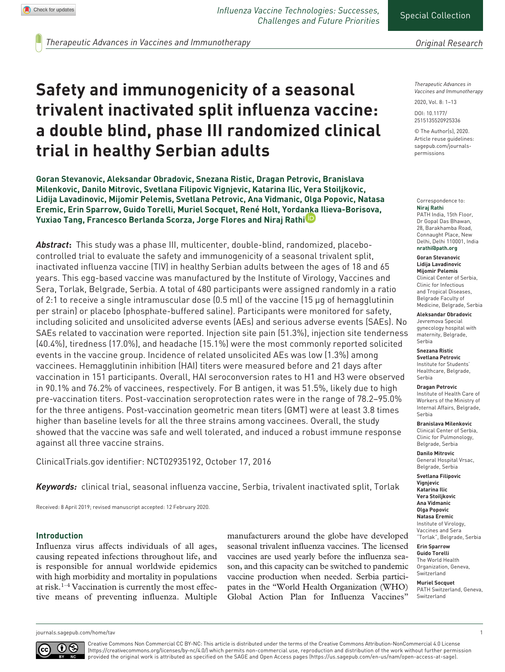*Influenza Vaccine Technologies: Successes, Challenges and Future Priorities*

*Therapeutic Advances in Vaccines and Immunotherapy*

# **Safety and immunogenicity of a seasonal trivalent inactivated split influenza vaccine: a double blind, phase III randomized clinical trial in healthy Serbian adults**

**Goran Stevanovic, Aleksandar Obradovic, Snezana Ristic, Dragan Petrovic, Branislava Milenkovic, Danilo Mitrovic, Svetlana Filipovic Vignjevic, Katarina Ilic, Vera Stoiljkovic, Lidija Lavadinovic, Mijomir Pelemis, Svetlana Petrovic, Ana Vidmanic, Olga Popovic, Natasa Eremic, Erin Sparrow, Guido Torelli, Muriel Socquet, René Holt, Yordanka Ilieva-Borisova, Yuxiao Tang, Francesco Berlanda Scorza, Jorge Flores and Niraj Rathi**

*Abstract***:** This study was a phase III, multicenter, double-blind, randomized, placebocontrolled trial to evaluate the safety and immunogenicity of a seasonal trivalent split, inactivated influenza vaccine (TIV) in healthy Serbian adults between the ages of 18 and 65 years. This egg-based vaccine was manufactured by the Institute of Virology, Vaccines and Sera, Torlak, Belgrade, Serbia. A total of 480 participants were assigned randomly in a ratio of 2:1 to receive a single intramuscular dose (0.5 ml) of the vaccine (15 µg of hemagglutinin per strain) or placebo (phosphate-buffered saline). Participants were monitored for safety, including solicited and unsolicited adverse events (AEs) and serious adverse events (SAEs). No SAEs related to vaccination were reported. Injection site pain (51.3%), injection site tenderness (40.4%), tiredness (17.0%), and headache (15.1%) were the most commonly reported solicited events in the vaccine group. Incidence of related unsolicited AEs was low (1.3%) among vaccinees. Hemagglutinin inhibition (HAI) titers were measured before and 21 days after vaccination in 151 participants. Overall, HAI seroconversion rates to H1 and H3 were observed in 90.1% and 76.2% of vaccinees, respectively. For B antigen, it was 51.5%, likely due to high pre-vaccination titers. Post-vaccination seroprotection rates were in the range of 78.2–95.0% for the three antigens. Post-vaccination geometric mean titers (GMT) were at least 3.8 times higher than baseline levels for all the three strains among vaccinees. Overall, the study showed that the vaccine was safe and well tolerated, and induced a robust immune response against all three vaccine strains.

ClinicalTrials.gov identifier: NCT02935192, October 17, 2016

*Keywords:* clinical trial, seasonal influenza vaccine, Serbia, trivalent inactivated split, Torlak

Received: 8 April 2019; revised manuscript accepted: 12 February 2020.

#### **Introduction**

Influenza virus affects individuals of all ages, causing repeated infections throughout life, and is responsible for annual worldwide epidemics with high morbidity and mortality in populations at risk.1–4 Vaccination is currently the most effective means of preventing influenza. Multiple manufacturers around the globe have developed seasonal trivalent influenza vaccines. The licensed vaccines are used yearly before the influenza season, and this capacity can be switched to pandemic vaccine production when needed. Serbia participates in the "World Health Organization (WHO) Global Action Plan for Influenza Vaccines"

*Therapeutic Advances in Vaccines and Immunotherapy*

2020, Vol. 8: 1–13

DOI: 10.1177/ 2515135520925336

© The Author(s), 2020. Article reuse guidelines: [sagepub.com/journals](https://uk.sagepub.com/en-gb/journals-permissions)[permissions](https://uk.sagepub.com/en-gb/journals-permissions)

#### Correspondence to: **Niraj Rathi**

PATH India, 15th Floor, Dr Gopal Das Bhawan, 28, Barakhamba Road, Connaught Place, New Delhi, Delhi 110001, India **nrathi@path.org**

# **Goran Stevanovic**

**Lidija Lavadinovic Mijomir Pelemis** Clinical Center of Serbia, Clinic for Infectious and Tropical Diseases, Belgrade Faculty of Medicine, Belgrade, Serbia

#### **Aleksandar Obradovic**

Jevremova Special gynecology hospital with maternity, Belgrade, Serbia

#### **Snezana Ristic**

**Svetlana Petrovic** Institute for Students' Healthcare, Belgrade, Serbia

#### **Dragan Petrovic**

Institute of Health Care of Workers of the Ministry of Internal Affairs, Belgrade, Serbia

#### **Branislava Milenkovic**

Clinical Center of Serbia, Clinic for Pulmonology, Belgrade, Serbia

**Danilo Mitrovic** General Hospital Vrsac, Belgrade, Serbia

**Svetlana Filipovic Vignjevic Katarina Ilic Vera Stoiljkovic Ana Vidmanic Olga Popovic Natasa Eremic**

Institute of Virology, Vaccines and Sera "Torlak", Belgrade, Serbia

**Erin Sparrow Guido Torelli** The World Health Organization, Geneva, Switzerland

#### **Muriel Socquet** PATH Switzerland, Geneva, Switzerland

[journals.sagepub.com/home/tav](https://journals.sagepub.com/home/tav) 1



Creative Commons Non Commercial CC BY-NC: This article is distributed under the terms of the Creative Commons Attribution-NonCommercial 4.0 License (https://creativecommons.org/licenses/by-nc/4.0/) which permits non-commercial use, reproduction and distribution of the work without further permission provided the original work is attributed as specified on the SAGE and Open Access pages (https://us.sagepub.com/en-us/nam/open-access-at-sage).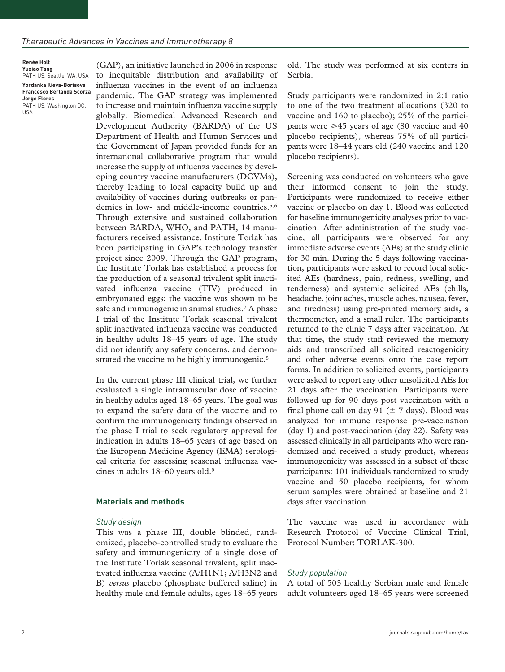**Renée Holt Yuxiao Tang** PATH US, Seattle, WA, USA **Yordanka Ilieva-Borisova Francesco Berlanda Scorza Jorge Flores** PATH US, Washington DC, USA

(GAP), an initiative launched in 2006 in response to inequitable distribution and availability of influenza vaccines in the event of an influenza pandemic. The GAP strategy was implemented to increase and maintain influenza vaccine supply globally. Biomedical Advanced Research and Development Authority (BARDA) of the US Department of Health and Human Services and the Government of Japan provided funds for an international collaborative program that would increase the supply of influenza vaccines by developing country vaccine manufacturers (DCVMs), thereby leading to local capacity build up and availability of vaccines during outbreaks or pandemics in low- and middle-income countries.<sup>5,6</sup> Through extensive and sustained collaboration between BARDA, WHO, and PATH, 14 manufacturers received assistance. Institute Torlak has been participating in GAP's technology transfer project since 2009. Through the GAP program, the Institute Torlak has established a process for the production of a seasonal trivalent split inactivated influenza vaccine (TIV) produced in embryonated eggs; the vaccine was shown to be safe and immunogenic in animal studies.7 A phase I trial of the Institute Torlak seasonal trivalent split inactivated influenza vaccine was conducted in healthy adults 18–45 years of age. The study did not identify any safety concerns, and demonstrated the vaccine to be highly immunogenic.<sup>8</sup>

In the current phase III clinical trial, we further evaluated a single intramuscular dose of vaccine in healthy adults aged 18–65 years. The goal was to expand the safety data of the vaccine and to confirm the immunogenicity findings observed in the phase I trial to seek regulatory approval for indication in adults 18–65 years of age based on the European Medicine Agency (EMA) serological criteria for assessing seasonal influenza vaccines in adults 18–60 years old.9

#### **Materials and methods**

#### *Study design*

This was a phase III, double blinded, randomized, placebo-controlled study to evaluate the safety and immunogenicity of a single dose of the Institute Torlak seasonal trivalent, split inactivated influenza vaccine (A/H1N1; A/H3N2 and B) *versus* placebo (phosphate buffered saline) in healthy male and female adults, ages 18–65 years

old. The study was performed at six centers in Serbia.

Study participants were randomized in 2:1 ratio to one of the two treatment allocations (320 to vaccine and 160 to placebo); 25% of the participants were  $\geq 45$  years of age (80 vaccine and 40 placebo recipients), whereas 75% of all participants were 18–44 years old (240 vaccine and 120 placebo recipients).

Screening was conducted on volunteers who gave their informed consent to join the study. Participants were randomized to receive either vaccine or placebo on day 1. Blood was collected for baseline immunogenicity analyses prior to vaccination. After administration of the study vaccine, all participants were observed for any immediate adverse events (AEs) at the study clinic for 30 min. During the 5 days following vaccination, participants were asked to record local solicited AEs (hardness, pain, redness, swelling, and tenderness) and systemic solicited AEs (chills, headache, joint aches, muscle aches, nausea, fever, and tiredness) using pre-printed memory aids, a thermometer, and a small ruler. The participants returned to the clinic 7 days after vaccination. At that time, the study staff reviewed the memory aids and transcribed all solicited reactogenicity and other adverse events onto the case report forms. In addition to solicited events, participants were asked to report any other unsolicited AEs for 21 days after the vaccination. Participants were followed up for 90 days post vaccination with a final phone call on day 91 ( $\pm$  7 days). Blood was analyzed for immune response pre-vaccination (day 1) and post-vaccination (day 22). Safety was assessed clinically in all participants who were randomized and received a study product, whereas immunogenicity was assessed in a subset of these participants: 101 individuals randomized to study vaccine and 50 placebo recipients, for whom serum samples were obtained at baseline and 21 days after vaccination.

The vaccine was used in accordance with Research Protocol of Vaccine Clinical Trial, Protocol Number: TORLAK-300.

#### *Study population*

A total of 503 healthy Serbian male and female adult volunteers aged 18–65 years were screened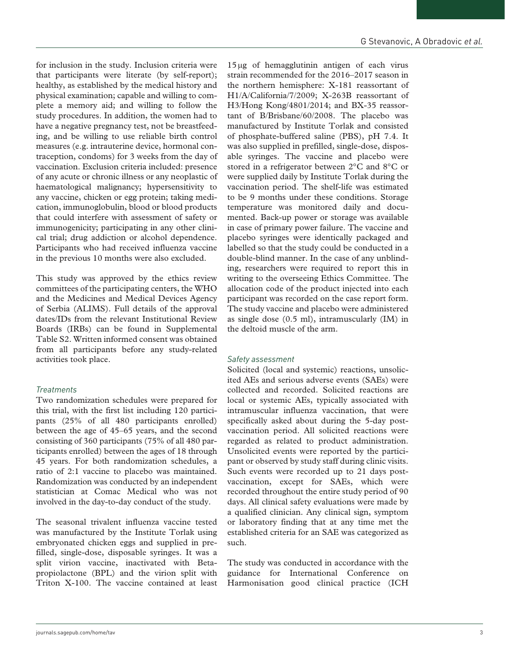for inclusion in the study. Inclusion criteria were that participants were literate (by self-report); healthy, as established by the medical history and physical examination; capable and willing to complete a memory aid; and willing to follow the study procedures. In addition, the women had to have a negative pregnancy test, not be breastfeeding, and be willing to use reliable birth control measures (e.g. intrauterine device, hormonal contraception, condoms) for 3 weeks from the day of vaccination. Exclusion criteria included: presence of any acute or chronic illness or any neoplastic of haematological malignancy; hypersensitivity to any vaccine, chicken or egg protein; taking medication, immunoglobulin, blood or blood products that could interfere with assessment of safety or immunogenicity; participating in any other clinical trial; drug addiction or alcohol dependence. Participants who had received influenza vaccine in the previous 10 months were also excluded.

This study was approved by the ethics review committees of the participating centers, the WHO and the Medicines and Medical Devices Agency of Serbia (ALIMS). Full details of the approval dates/IDs from the relevant Institutional Review Boards (IRBs) can be found in Supplemental Table S2. Written informed consent was obtained from all participants before any study-related activities took place.

## *Treatments*

Two randomization schedules were prepared for this trial, with the first list including 120 participants (25% of all 480 participants enrolled) between the age of 45–65 years, and the second consisting of 360 participants (75% of all 480 participants enrolled) between the ages of 18 through 45 years. For both randomization schedules, a ratio of 2:1 vaccine to placebo was maintained. Randomization was conducted by an independent statistician at Comac Medical who was not involved in the day-to-day conduct of the study.

The seasonal trivalent influenza vaccine tested was manufactured by the Institute Torlak using embryonated chicken eggs and supplied in prefilled, single-dose, disposable syringes. It was a split virion vaccine, inactivated with Betapropiolactone (BPL) and the virion split with Triton X-100. The vaccine contained at least

15μg of hemagglutinin antigen of each virus strain recommended for the 2016–2017 season in the northern hemisphere: X-181 reassortant of H1/A/California/7/2009; X-263B reassortant of H3/Hong Kong/4801/2014; and BX-35 reassortant of B/Brisbane/60/2008. The placebo was manufactured by Institute Torlak and consisted of phosphate-buffered saline (PBS), pH 7.4. It was also supplied in prefilled, single-dose, disposable syringes. The vaccine and placebo were stored in a refrigerator between 2°C and 8°C or were supplied daily by Institute Torlak during the vaccination period. The shelf-life was estimated to be 9 months under these conditions. Storage temperature was monitored daily and documented. Back-up power or storage was available in case of primary power failure. The vaccine and placebo syringes were identically packaged and labelled so that the study could be conducted in a double-blind manner. In the case of any unblinding, researchers were required to report this in writing to the overseeing Ethics Committee. The allocation code of the product injected into each participant was recorded on the case report form. The study vaccine and placebo were administered as single dose (0.5 ml), intramuscularly (IM) in the deltoid muscle of the arm.

## *Safety assessment*

Solicited (local and systemic) reactions, unsolicited AEs and serious adverse events (SAEs) were collected and recorded. Solicited reactions are local or systemic AEs, typically associated with intramuscular influenza vaccination, that were specifically asked about during the 5-day postvaccination period. All solicited reactions were regarded as related to product administration. Unsolicited events were reported by the participant or observed by study staff during clinic visits. Such events were recorded up to 21 days postvaccination, except for SAEs, which were recorded throughout the entire study period of 90 days. All clinical safety evaluations were made by a qualified clinician. Any clinical sign, symptom or laboratory finding that at any time met the established criteria for an SAE was categorized as such.

The study was conducted in accordance with the guidance for International Conference on Harmonisation good clinical practice (ICH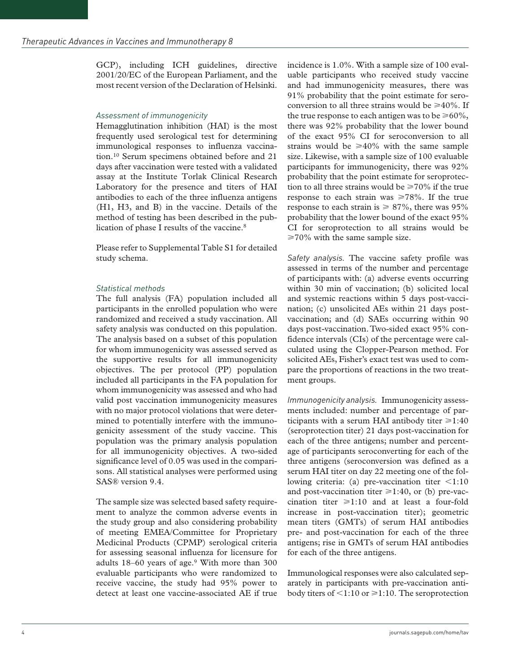GCP), including ICH guidelines, directive 2001/20/EC of the European Parliament, and the most recent version of the Declaration of Helsinki.

#### *Assessment of immunogenicity*

Hemagglutination inhibition (HAI) is the most frequently used serological test for determining immunological responses to influenza vaccination.10 Serum specimens obtained before and 21 days after vaccination were tested with a validated assay at the Institute Torlak Clinical Research Laboratory for the presence and titers of HAI antibodies to each of the three influenza antigens (H1, H3, and B) in the vaccine. Details of the method of testing has been described in the publication of phase I results of the vaccine.8

Please refer to Supplemental Table S1 for detailed study schema.

#### *Statistical methods*

The full analysis (FA) population included all participants in the enrolled population who were randomized and received a study vaccination. All safety analysis was conducted on this population. The analysis based on a subset of this population for whom immunogenicity was assessed served as the supportive results for all immunogenicity objectives. The per protocol (PP) population included all participants in the FA population for whom immunogenicity was assessed and who had valid post vaccination immunogenicity measures with no major protocol violations that were determined to potentially interfere with the immunogenicity assessment of the study vaccine. This population was the primary analysis population for all immunogenicity objectives. A two-sided significance level of 0.05 was used in the comparisons. All statistical analyses were performed using SAS® version 9.4.

The sample size was selected based safety requirement to analyze the common adverse events in the study group and also considering probability of meeting EMEA/Committee for Proprietary Medicinal Products (CPMP) serological criteria for assessing seasonal influenza for licensure for adults 18–60 years of age.9 With more than 300 evaluable participants who were randomized to receive vaccine, the study had 95% power to detect at least one vaccine-associated AE if true incidence is 1.0%. With a sample size of 100 evaluable participants who received study vaccine and had immunogenicity measures, there was 91% probability that the point estimate for seroconversion to all three strains would be  $\geq 40\%$ . If the true response to each antigen was to be  $\geq 60\%$ , there was 92% probability that the lower bound of the exact 95% CI for seroconversion to all strains would be  $\geq 40\%$  with the same sample size. Likewise, with a sample size of 100 evaluable participants for immunogenicity, there was 92% probability that the point estimate for seroprotection to all three strains would be  $\geq 70\%$  if the true response to each strain was  $\geq 78\%$ . If the true response to each strain is  $\geq 87\%$ , there was 95% probability that the lower bound of the exact 95% CI for seroprotection to all strains would be  $\geq$  70% with the same sample size.

*Safety analysis.* The vaccine safety profile was assessed in terms of the number and percentage of participants with: (a) adverse events occurring within 30 min of vaccination; (b) solicited local and systemic reactions within 5 days post-vaccination; (c) unsolicited AEs within 21 days postvaccination; and (d) SAEs occurring within 90 days post-vaccination. Two-sided exact 95% confidence intervals (CIs) of the percentage were calculated using the Clopper-Pearson method. For solicited AEs, Fisher's exact test was used to compare the proportions of reactions in the two treatment groups.

*Immunogenicity analysis.* Immunogenicity assessments included: number and percentage of participants with a serum HAI antibody titer  $\geq 1:40$ (seroprotection titer) 21 days post-vaccination for each of the three antigens; number and percentage of participants seroconverting for each of the three antigens (seroconversion was defined as a serum HAI titer on day 22 meeting one of the following criteria: (a) pre-vaccination titer  $\leq 1:10$ and post-vaccination titer  $\geq 1:40$ , or (b) pre-vaccination titer  $\geq 1:10$  and at least a four-fold increase in post-vaccination titer); geometric mean titers (GMTs) of serum HAI antibodies pre- and post-vaccination for each of the three antigens; rise in GMTs of serum HAI antibodies for each of the three antigens.

Immunological responses were also calculated separately in participants with pre-vaccination antibody titers of  $\leq$ 1:10 or  $\geq$ 1:10. The seroprotection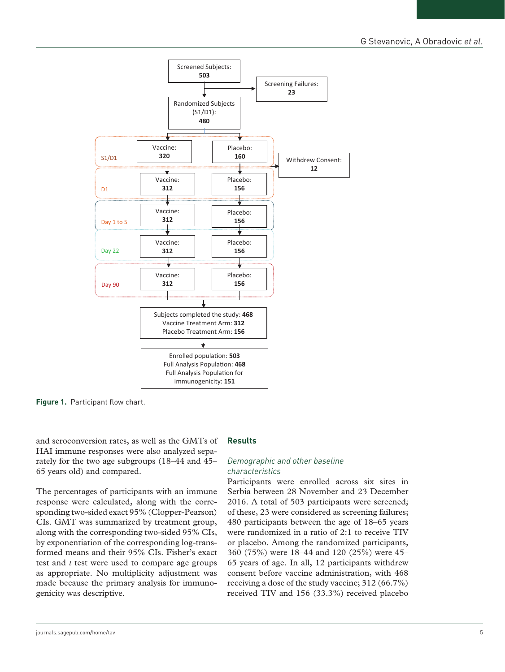

**Figure 1.** Participant flow chart.

and seroconversion rates, as well as the GMTs of HAI immune responses were also analyzed separately for the two age subgroups (18–44 and 45– 65 years old) and compared.

The percentages of participants with an immune response were calculated, along with the corresponding two-sided exact 95% (Clopper-Pearson) CIs. GMT was summarized by treatment group, along with the corresponding two-sided 95% CIs, by exponentiation of the corresponding log-transformed means and their 95% CIs. Fisher's exact test and *t* test were used to compare age groups as appropriate. No multiplicity adjustment was made because the primary analysis for immunogenicity was descriptive.

#### **Results**

## *Demographic and other baseline characteristics*

Participants were enrolled across six sites in Serbia between 28 November and 23 December 2016. A total of 503 participants were screened; of these, 23 were considered as screening failures; 480 participants between the age of 18–65 years were randomized in a ratio of 2:1 to receive TIV or placebo. Among the randomized participants, 360 (75%) were 18–44 and 120 (25%) were 45– 65 years of age. In all, 12 participants withdrew consent before vaccine administration, with 468 receiving a dose of the study vaccine; 312 (66.7%) received TIV and 156 (33.3%) received placebo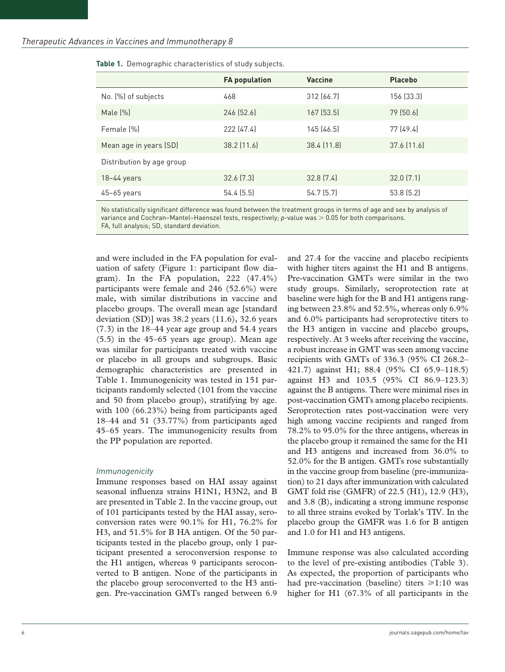|                           | <b>FA population</b> | <b>Vaccine</b> | <b>Placebo</b>  |
|---------------------------|----------------------|----------------|-----------------|
| No. (%) of subjects       | 468                  | 312 (66.7)     | 156 (33.3)      |
| Male $(\%)$               | 246 (52.6)           | 167(53.5)      | 79(50.6)        |
| Female (%)                | 222 (47.4)           | 145(46.5)      | 77(49.4)        |
| Mean age in years (SD)    | $38.2$ (11.6)        | 38.4 (11.8)    | $37.6$ $(11.6)$ |
| Distribution by age group |                      |                |                 |
| $18-44$ years             | 32.6(7.3)            | 32.8(7.4)      | 32.0(7.1)       |
| $45-65$ years             | 54.4(5.5)            | 54.7(5.7)      | 53.8(5.2)       |

**Table 1.** Demographic characteristics of study subjects.

No statistically significant difference was found between the treatment groups in terms of age and sex by analysis of variance and Cochran–Mantel–Haenszel tests, respectively; *p*-value was > 0.05 for both comparisons. FA, full analysis; SD, standard deviation.

and were included in the FA population for evaluation of safety (Figure 1: participant flow diagram). In the FA population, 222 (47.4%) participants were female and 246 (52.6%) were male, with similar distributions in vaccine and placebo groups. The overall mean age [standard deviation (SD)] was 38.2 years (11.6), 32.6 years (7.3) in the 18–44 year age group and 54.4 years (5.5) in the 45–65 years age group). Mean age was similar for participants treated with vaccine or placebo in all groups and subgroups. Basic demographic characteristics are presented in Table 1. Immunogenicity was tested in 151 participants randomly selected (101 from the vaccine and 50 from placebo group), stratifying by age. with 100 (66.23%) being from participants aged 18–44 and 51 (33.77%) from participants aged 45–65 years. The immunogenicity results from the PP population are reported.

#### *Immunogenicity*

Immune responses based on HAI assay against seasonal influenza strains H1N1, H3N2, and B are presented in Table 2. In the vaccine group, out of 101 participants tested by the HAI assay, seroconversion rates were 90.1% for H1, 76.2% for H3, and 51.5% for B HA antigen. Of the 50 participants tested in the placebo group, only 1 participant presented a seroconversion response to the H1 antigen, whereas 9 participants seroconverted to B antigen. None of the participants in the placebo group seroconverted to the H3 antigen. Pre-vaccination GMTs ranged between 6.9

and 27.4 for the vaccine and placebo recipients with higher titers against the H1 and B antigens. Pre-vaccination GMTs were similar in the two study groups. Similarly, seroprotection rate at baseline were high for the B and H1 antigens ranging between 23.8% and 52.5%, whereas only 6.9% and 6.0% participants had seroprotective titers to the H3 antigen in vaccine and placebo groups, respectively. At 3 weeks after receiving the vaccine, a robust increase in GMT was seen among vaccine recipients with GMTs of 336.3 (95% CI 268.2– 421.7) against H1; 88.4 (95% CI 65.9–118.5) against H3 and 103.5 (95% CI 86.9–123.3) against the B antigens. There were minimal rises in post-vaccination GMTs among placebo recipients. Seroprotection rates post-vaccination were very high among vaccine recipients and ranged from 78.2% to 95.0% for the three antigens, whereas in the placebo group it remained the same for the H1 and H3 antigens and increased from 36.0% to 52.0% for the B antigen. GMTs rose substantially in the vaccine group from baseline (pre-immunization) to 21 days after immunization with calculated GMT fold rise (GMFR) of 22.5 (H1), 12.9 (H3), and 3.8 (B), indicating a strong immune response to all three strains evoked by Torlak's TIV. In the placebo group the GMFR was 1.6 for B antigen and 1.0 for H1 and H3 antigens.

Immune response was also calculated according to the level of pre-existing antibodies (Table 3). As expected, the proportion of participants who had pre-vaccination (baseline) titers  $\geq 1:10$  was higher for H1 (67.3% of all participants in the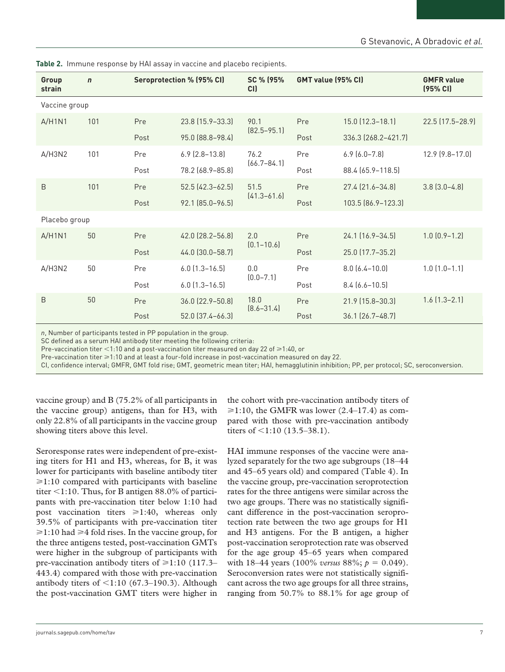| Group<br>strain | $\mathsf{n}$                                |      | Seroprotection % (95% CI)           | SC % (95%<br>CI) | GMT value (95% CI)  |                        | <b>GMFR value</b><br>(95% CI) |
|-----------------|---------------------------------------------|------|-------------------------------------|------------------|---------------------|------------------------|-------------------------------|
| Vaccine group   |                                             |      |                                     |                  |                     |                        |                               |
| A/H1N1          | 101                                         | Pre  | 23.8 (15.9 - 33.3)                  | 90.1             | Pre                 | $15.0$ $(12.3 - 18.1)$ | 22.5 (17.5-28.9)              |
|                 |                                             | Post | $[82.5 - 95.1]$<br>95.0 (88.8-98.4) | Post             | 336.3 (268.2-421.7) |                        |                               |
| A/H3N2          | 101                                         | Pre  | $6.9$ $(2.8 - 13.8)$                | 76.2             | Pre                 | $6.9(6.0-7.8)$         | 12.9 (9.8-17.0)               |
|                 | $(66.7 - 84.1)$<br>78.2 (68.9-85.8)<br>Post | Post | 88.4 (65.9-118.5)                   |                  |                     |                        |                               |
| B               | 101                                         | Pre  | $52.5$ (42.3-62.5)                  | 51.5             | Pre                 | 27.4 (21.6-34.8)       | $3.8$ $(3.0-4.8)$             |
|                 |                                             | Post | 92.1 (85.0-96.5)                    | $[41.3 - 61.6]$  | Post                | 103.5 (86.9-123.3)     |                               |
| Placebo group   |                                             |      |                                     |                  |                     |                        |                               |
| A/H1N1          | 50                                          | Pre  | 42.0 (28.2-56.8)                    | 2.0              | Pre                 | 24.1 (16.9-34.5)       | $1.0$ $(0.9 - 1.2)$           |
|                 |                                             | Post | 44.0 (30.0-58.7)                    | $[0.1 - 10.6]$   | Post                | 25.0 (17.7-35.2)       |                               |
| A/H3N2          | 50                                          | Pre  | $6.0$ $(1.3 - 16.5)$                | 0.0              | Pre                 | $8.0(6.4 - 10.0)$      | $1.0$ $(1.0-1.1)$             |
|                 |                                             | Post | $6.0$ $(1.3 - 16.5)$                | $(0.0 - 7.1)$    | Post                | $8.4 [6.6 - 10.5]$     |                               |
| B               | 50                                          | Pre  | 36.0 (22.9-50.8)                    | 18.0             | Pre                 | 21.9 (15.8-30.3)       | $1.6$ $(1.3 - 2.1)$           |
|                 |                                             | Post | 52.0 (37.4-66.3)                    | $[8.6 - 31.4]$   | Post                | $36.1$ $(26.7 - 48.7)$ |                               |

**Table 2.** Immune response by HAI assay in vaccine and placebo recipients.

*n*, Number of participants tested in PP population in the group.

SC defined as a serum HAI antibody titer meeting the following criteria:

Pre-vaccination titer <1:10 and a post-vaccination titer measured on day 22 of  $\geq 1:40$ , or

Pre-vaccination titer  $\geq 1:10$  and at least a four-fold increase in post-vaccination measured on day 22.

CI, confidence interval; GMFR, GMT fold rise; GMT, geometric mean titer; HAI, hemagglutinin inhibition; PP, per protocol; SC, seroconversion.

vaccine group) and B (75.2% of all participants in the vaccine group) antigens, than for H3, with only 22.8% of all participants in the vaccine group showing titers above this level.

Seroresponse rates were independent of pre-existing titers for H1 and H3, whereas, for B, it was lower for participants with baseline antibody titer  $\geq 1:10$  compared with participants with baseline titer <1:10. Thus, for B antigen 88.0% of participants with pre-vaccination titer below 1:10 had post vaccination titers  $\geq 1:40$ , whereas only 39.5% of participants with pre-vaccination titer  $\geq 1:10$  had  $\geq 4$  fold rises. In the vaccine group, for the three antigens tested, post-vaccination GMTs were higher in the subgroup of participants with pre-vaccination antibody titers of  $\geq 1:10$  (117.3– 443.4) compared with those with pre-vaccination antibody titers of  $\leq$ 1:10 (67.3–190.3). Although the post-vaccination GMT titers were higher in

the cohort with pre-vaccination antibody titers of  $\geq 1:10$ , the GMFR was lower (2.4–17.4) as compared with those with pre-vaccination antibody titers of <1:10 (13.5–38.1).

HAI immune responses of the vaccine were analyzed separately for the two age subgroups (18–44 and 45–65 years old) and compared (Table 4). In the vaccine group, pre-vaccination seroprotection rates for the three antigens were similar across the two age groups. There was no statistically significant difference in the post-vaccination seroprotection rate between the two age groups for H1 and H3 antigens. For the B antigen, a higher post-vaccination seroprotection rate was observed for the age group 45–65 years when compared with 18–44 years (100% *versus* 88%; *p* = 0.049). Seroconversion rates were not statistically significant across the two age groups for all three strains, ranging from 50.7% to 88.1% for age group of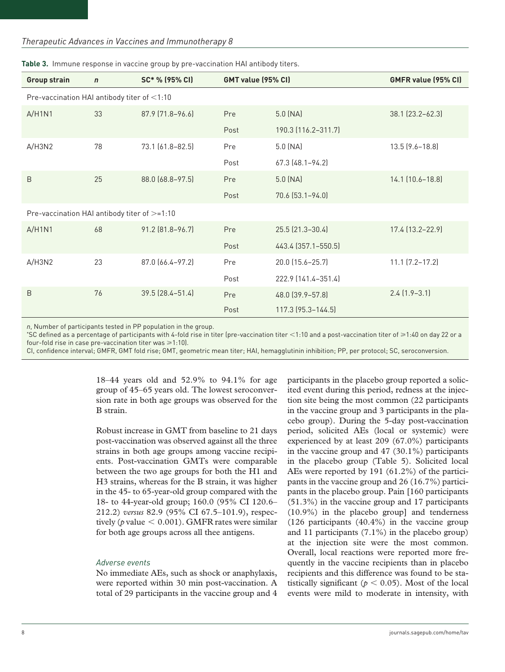#### *Therapeutic Advances in Vaccines and Immunotherapy 8*

| <b>Group strain</b>                          | $\mathbf n$ | SC* % (95% CI)   | GMT value (95% CI) |                        | GMFR value (95% CI)    |
|----------------------------------------------|-------------|------------------|--------------------|------------------------|------------------------|
| Pre-vaccination HAI antibody titer of <1:10  |             |                  |                    |                        |                        |
| A/H1N1                                       | 33          | 87.9 (71.8-96.6) | Pre                | $5.0$ (NA)             | $38.1$ $(23.2 - 62.3)$ |
|                                              |             |                  | Post               | 190.3 (116.2-311.7)    |                        |
| A/H3N2                                       | 78          | 73.1 (61.8-82.5) | Pre                | $5.0$ (NA)             | $13.5$ $(9.6 - 18.8)$  |
|                                              |             |                  | Post               | $67.3$ $(48.1 - 94.2)$ |                        |
| B                                            | 25          | 88.0 (68.8-97.5) | Pre                | $5.0$ (NA)             | 14.1 (10.6-18.8)       |
|                                              |             |                  | Post               | $70.6$ $(53.1 - 94.0)$ |                        |
| Pre-vaccination HAI antibody titer of >=1:10 |             |                  |                    |                        |                        |
| A/H1N1                                       | 68          | 91.2 (81.8-96.7) | Pre                | 25.5 (21.3-30.4)       | 17.4 (13.2-22.9)       |
|                                              |             |                  | Post               | 443.4 (357.1-550.5)    |                        |
| A/H3N2                                       | 23          | 87.0 (66.4-97.2) | Pre                | 20.0 (15.6-25.7)       | $11.1$ $(7.2 - 17.2)$  |
|                                              |             |                  | Post               | 222.9 (141.4-351.4)    |                        |
| B                                            | 76          | 39.5 (28.4-51.4) | Pre                | 48.0 (39.9-57.8)       | $2.4$ $(1.9-3.1)$      |
|                                              |             |                  | Post               | 117.3 (95.3-144.5)     |                        |

**Table 3.** Immune response in vaccine group by pre-vaccination HAI antibody titers.

*n*, Number of participants tested in PP population in the group.

\*SC defined as a percentage of participants with 4-fold rise in titer (pre-vaccination titer <1:10 and a post-vaccination titer of ⩾1:40 on day 22 or a four-fold rise in case pre-vaccination titer was  $\geq 1:10$ .

CI, confidence interval; GMFR, GMT fold rise; GMT, geometric mean titer; HAI, hemagglutinin inhibition; PP, per protocol; SC, seroconversion.

18–44 years old and 52.9% to 94.1% for age group of 45–65 years old. The lowest seroconversion rate in both age groups was observed for the B strain.

Robust increase in GMT from baseline to 21 days post-vaccination was observed against all the three strains in both age groups among vaccine recipients. Post-vaccination GMTs were comparable between the two age groups for both the H1 and H3 strains, whereas for the B strain, it was higher in the 45- to 65-year-old group compared with the 18- to 44-year-old group; 160.0 (95% CI 120.6– 212.2) *versus* 82.9 (95% CI 67.5–101.9), respectively ( $p$  value  $\leq 0.001$ ). GMFR rates were similar for both age groups across all thee antigens.

#### *Adverse events*

No immediate AEs, such as shock or anaphylaxis, were reported within 30 min post-vaccination. A total of 29 participants in the vaccine group and 4

participants in the placebo group reported a solicited event during this period, redness at the injection site being the most common (22 participants in the vaccine group and 3 participants in the placebo group). During the 5-day post-vaccination period, solicited AEs (local or systemic) were experienced by at least 209 (67.0%) participants in the vaccine group and 47 (30.1%) participants in the placebo group (Table 5). Solicited local AEs were reported by 191 (61.2%) of the participants in the vaccine group and 26 (16.7%) participants in the placebo group. Pain [160 participants (51.3%) in the vaccine group and 17 participants (10.9%) in the placebo group] and tenderness  $(126$  participants  $(40.4\%)$  in the vaccine group and 11 participants (7.1%) in the placebo group) at the injection site were the most common. Overall, local reactions were reported more frequently in the vaccine recipients than in placebo recipients and this difference was found to be statistically significant ( $p < 0.05$ ). Most of the local events were mild to moderate in intensity, with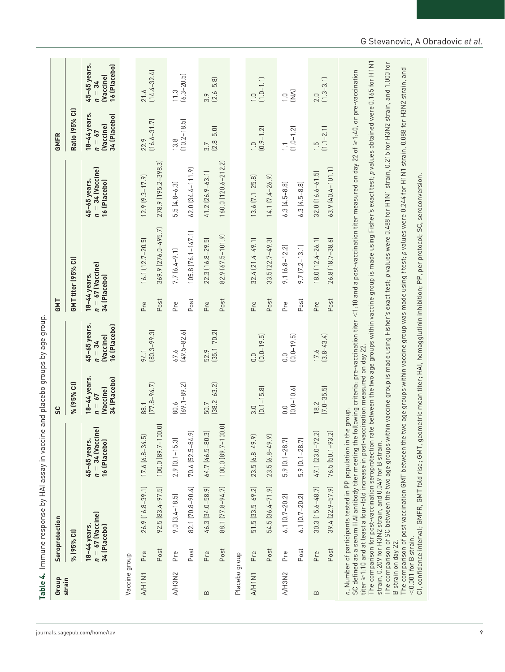|                               |                                                | Table 4. Immune response by HAI assay in vaccine       |                                                                                                                                                                |                                                       | and placebo groups by age group                       |                              |                                                                                                                                                                                                                                                                                                                                                                                                                                                                                                                                                               |                                                    |                                                       |                                                       |
|-------------------------------|------------------------------------------------|--------------------------------------------------------|----------------------------------------------------------------------------------------------------------------------------------------------------------------|-------------------------------------------------------|-------------------------------------------------------|------------------------------|---------------------------------------------------------------------------------------------------------------------------------------------------------------------------------------------------------------------------------------------------------------------------------------------------------------------------------------------------------------------------------------------------------------------------------------------------------------------------------------------------------------------------------------------------------------|----------------------------------------------------|-------------------------------------------------------|-------------------------------------------------------|
| Group                         |                                                | Seroprotection                                         |                                                                                                                                                                | 3c                                                    |                                                       | <b>GMT</b>                   |                                                                                                                                                                                                                                                                                                                                                                                                                                                                                                                                                               |                                                    | GMFR                                                  |                                                       |
| strain                        | % (95% CI)                                     |                                                        |                                                                                                                                                                | % (95% CI)                                            |                                                       |                              | GMT titer (95% CI)                                                                                                                                                                                                                                                                                                                                                                                                                                                                                                                                            |                                                    | Ratio (95% Cl)                                        |                                                       |
|                               | 18-44 years.<br>34 (Placebo)                   | $n = 67$ (Vaccine)                                     | $n = 34$ (Vaccine)<br>45-65 years.<br>16 (Placebo)                                                                                                             | 18-44 years.<br>34 (Placebo)<br>(Vaccine)<br>$n = 67$ | 45-65 years.<br>16 (Placebo)<br>(Vaccine)<br>$n = 34$ | 18-44 years.<br>34 (Placebo) | $n = 67$ (Vaccine)                                                                                                                                                                                                                                                                                                                                                                                                                                                                                                                                            | $n = 34$ (Vaccine)<br>45-65 years.<br>16 (Placebo) | 18-44 years.<br>34 (Placebo)<br>(Vaccine)<br>$n = 67$ | 45-65 years.<br>16 (Placebo)<br>(Vaccine)<br>$n = 34$ |
| Vaccine group                 |                                                |                                                        |                                                                                                                                                                |                                                       |                                                       |                              |                                                                                                                                                                                                                                                                                                                                                                                                                                                                                                                                                               |                                                    |                                                       |                                                       |
| A/H1N1                        | Pre                                            | 26.9 (16.8-39.1)                                       | $17.6$ $(6.8-34.5)$                                                                                                                                            | 88.1                                                  | 94.1                                                  | Pre                          | 16.1 (12.7-20.5)                                                                                                                                                                                                                                                                                                                                                                                                                                                                                                                                              | $12.9 [9.3 - 17.9]$                                | 22.9                                                  | 21.6                                                  |
|                               | Post                                           | 92.5 [83.4-97.5]                                       | 100.0 (89.7-100.0)                                                                                                                                             | $[77.8 - 94.7]$                                       | $[80.3 - 99.3]$                                       | Post                         | 369.9 [276.0-495.7]                                                                                                                                                                                                                                                                                                                                                                                                                                                                                                                                           | 278.9 (195.2-398.3)                                | $(16.6 - 31.7)$                                       | $(14.4 - 32.4)$                                       |
| A/H3N2                        | Pre                                            | $9.0 [3.4 - 18.5]$                                     | $2.9$ $[0.1 - 15.3]$                                                                                                                                           | 80.6                                                  | 67.6                                                  | Pre                          | $7.7 [6.4 - 9.1]$                                                                                                                                                                                                                                                                                                                                                                                                                                                                                                                                             | $5.5(4.8-6.3)$                                     | 13.8                                                  | 11.3                                                  |
|                               | Post                                           | 82.1 [70.8-90.4]                                       | 70.6 [52.5-84.9]                                                                                                                                               | $(69.1 - 89.2)$                                       | $(49.5 - 82.6)$                                       | Post                         | $105.8$ $[76.1 - 147.1]$                                                                                                                                                                                                                                                                                                                                                                                                                                                                                                                                      | 62.0 [34.4-111.9]                                  | $(10.2 - 18.5)$                                       | $(6.3 - 20.5)$                                        |
| $\mathbf{u}$                  | Pre                                            | 46.3 [34.0-58.9]                                       | 64.7 (46.5-80.3)                                                                                                                                               | 50.7                                                  | 52.9                                                  | Pre                          | 22.3 (16.8-29.5)                                                                                                                                                                                                                                                                                                                                                                                                                                                                                                                                              | 41.2 (26.9-63.1)                                   | 3.7                                                   | 3.9                                                   |
|                               | Post                                           | 88.1 [77.8-94.7]                                       | 100.0 (89.7-100.0)                                                                                                                                             | $[38.2 - 63.2]$                                       | $(35.1 - 70.2)$                                       | Post                         | 82.9 (67.5-101.9)                                                                                                                                                                                                                                                                                                                                                                                                                                                                                                                                             | 160.0 (120.6-212.2)                                | $(2.8 - 5.0)$                                         | $(2.6 - 5.8)$                                         |
| Placebo group                 |                                                |                                                        |                                                                                                                                                                |                                                       |                                                       |                              |                                                                                                                                                                                                                                                                                                                                                                                                                                                                                                                                                               |                                                    |                                                       |                                                       |
| A/H1N1                        | Pre                                            | $51.5$ $(33.5-69.2)$                                   | $23.5(6.8-49.9)$                                                                                                                                               | 3.0                                                   | 0.0                                                   | Pre                          | $32.4[21.4-49.1]$                                                                                                                                                                                                                                                                                                                                                                                                                                                                                                                                             | $13.6$ $[7.1 - 25.8]$                              | $\overline{0}$ .                                      | $\frac{1.0}{(1.0 - 1.1)}$                             |
|                               | Post                                           | 54.5 [36.4-71.9]                                       | $23.5(6.8-49.9)$                                                                                                                                               | $(0.1 - 15.8)$                                        | $(0.0 - 19.5)$                                        | Post                         | $33.5$ $[22.7-49.3]$                                                                                                                                                                                                                                                                                                                                                                                                                                                                                                                                          | 14.1 [7.4-26.9]                                    | $(0.9 - 1.2)$                                         |                                                       |
| A/H3N2                        | Pre                                            | $6.1$ $[0.7 - 20.2]$                                   | $5.9$ $[0.1 - 28.7]$                                                                                                                                           | $(0.0 - 10.6)$<br>0.0                                 | 0.0                                                   | Pre                          | $9.1 [6.8 - 12.2]$                                                                                                                                                                                                                                                                                                                                                                                                                                                                                                                                            | $6.3$ $(4.5-8.8)$                                  | $\begin{array}{c} 1.1 \\ 1.0 - 1.2 \end{array}$       | $\widetilde{\Xi}$<br>$\overline{0}$ .                 |
|                               | Post                                           | $6.1$ $[0.7 - 20.2]$                                   | $5.9$ $[0.1 - 28.7]$                                                                                                                                           |                                                       | $[0.0 - 19.5]$                                        | Post                         | $9.7$ $[7.2 - 13.1]$                                                                                                                                                                                                                                                                                                                                                                                                                                                                                                                                          | $6.3$ $(4.5-8.8)$                                  |                                                       |                                                       |
| $\mathbf{\underline{\infty}}$ | Pre                                            | $30.3$ $(15.6 - 48.7)$                                 | 47.1 (23.0-72.2)                                                                                                                                               | 18.2                                                  | 17.6                                                  | Pre                          | 18.0 (12.4-26.1)                                                                                                                                                                                                                                                                                                                                                                                                                                                                                                                                              | $32.0$ $(16.6 - 61.5)$                             | $\frac{5}{1}$                                         | 2.0                                                   |
|                               | Post                                           | 39.4 (22.9-57.9)                                       | 76.5 [50.1-93.2]                                                                                                                                               | $(7.0 - 35.5)$                                        | $(3.8 - 43.4)$                                        | Post                         | 26.8 [18.7-38.6]                                                                                                                                                                                                                                                                                                                                                                                                                                                                                                                                              | 63.9 (40.4-101.1)                                  | $(1.1 - 2.1)$                                         | $(1.3 - 3.1)$                                         |
|                               |                                                | strain, 0.209 for H3N2 strain, and 0.049 for B strain. | titer $\geq 1.10$ and at least a four-fold increase in post-vaccination measured on day 22.<br>n, Number of participants tested in PP population in the group. |                                                       |                                                       |                              | The comparison for post-vaccination seroprotection rate between the two age groups within vaccine group is made using Fisher's exact test; p values obtained were 0.165 for H1N1<br>The comparison of SC between the two age groups within vaccine group is made using Fisher's exact test; p values were 0.488 for H1N1 strain, 0.215 for H3N2 strain, and 1.000 for<br>SC defined as a serum HAI antibody titer meeting the following criteria: pre-vaccination titer $<$ 1:10 and a post-vaccination titer measured on day 22 of ≥1:40, or pre-vaccination |                                                    |                                                       |                                                       |
|                               | $<$ 0.001 for B strain.<br>B strain on day 22. |                                                        |                                                                                                                                                                |                                                       |                                                       |                              | The comparison of post vaccination GMT between the two age groups within vaccine group was made using <i>t</i> test; p values were 0.244 for H1N1 strain, 0.088 for H3N2 strain, and                                                                                                                                                                                                                                                                                                                                                                          |                                                    |                                                       |                                                       |
|                               |                                                |                                                        |                                                                                                                                                                |                                                       |                                                       |                              | CI, confidence interval; GMFR, GMT fold rise; GMT, geometric mean titer; HAI, hemagglutinin inhibition; PP, per protocol; SC, seroconversion.                                                                                                                                                                                                                                                                                                                                                                                                                 |                                                    |                                                       |                                                       |

[journals.sagepub.com/home/tav](https://journals.sagepub.com/home/tav)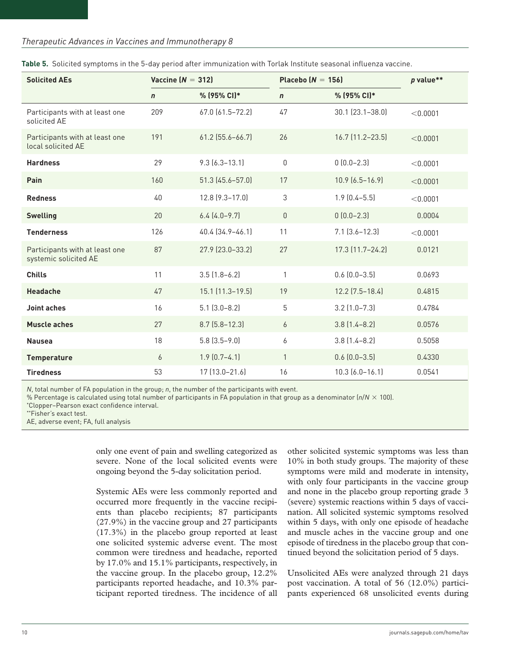#### *Therapeutic Advances in Vaccines and Immunotherapy 8*

| <b>Solicited AEs</b>                                    | Vaccine ( $N = 312$ ) |                        | Placebo ( $N = 156$ ) |                        | p value** |
|---------------------------------------------------------|-----------------------|------------------------|-----------------------|------------------------|-----------|
|                                                         | $\mathsf{n}$          | % (95% CI)*            | $\mathsf{n}$          | % (95% CI)*            |           |
| Participants with at least one<br>solicited AE          | 209                   | 67.0 (61.5-72.2)       | 47                    | $30.1$ $[23.1 - 38.0]$ | < 0.0001  |
| Participants with at least one<br>local solicited AE    | 191                   | $61.2$ (55.6-66.7)     | 26                    | 16.7 (11.2-23.5)       | < 0.0001  |
| <b>Hardness</b>                                         | 29                    | $9.3 [6.3 - 13.1]$     | $\mathbf{0}$          | $0(0.0-2.3)$           | < 0.0001  |
| Pain                                                    | 160                   | 51.3 (45.6-57.0)       | 17                    | $10.9(6.5 - 16.9)$     | < 0.0001  |
| <b>Redness</b>                                          | 40                    | $12.8$ $(9.3 - 17.0)$  | $\mathfrak{Z}$        | $1.9$ $(0.4 - 5.5)$    | < 0.0001  |
| <b>Swelling</b>                                         | 20                    | $6.4$ $(4.0-9.7)$      | $\mathbf{0}$          | $0(0.0-2.3)$           | 0.0004    |
| <b>Tenderness</b>                                       | 126                   | 40.4 (34.9-46.1)       | 11                    | $7.1$ $(3.6 - 12.3)$   | < 0.0001  |
| Participants with at least one<br>systemic solicited AE | 87                    | 27.9 (23.0-33.2)       | 27                    | $17.3$ $(11.7 - 24.2)$ | 0.0121    |
| <b>Chills</b>                                           | 11                    | $3.5$ $(1.8-6.2)$      | 1                     | $0.6$ $(0.0-3.5)$      | 0.0693    |
| <b>Headache</b>                                         | 47                    | $15.1$ $(11.3 - 19.5)$ | 19                    | $12.2$ $(7.5 - 18.4)$  | 0.4815    |
| <b>Joint aches</b>                                      | 16                    | $5.1(3.0-8.2)$         | 5                     | $3.2$ $(1.0 - 7.3)$    | 0.4784    |
| <b>Muscle aches</b>                                     | 27                    | $8.7$ (5.8-12.3)       | 6                     | $3.8$ $(1.4 - 8.2)$    | 0.0576    |
| <b>Nausea</b>                                           | 18                    | $5.8$ $(3.5 - 9.0)$    | 6                     | $3.8$ $(1.4 - 8.2)$    | 0.5058    |
| <b>Temperature</b>                                      | 6                     | $1.9(0.7-4.1)$         | $\mathbf{1}$          | $0.6$ $(0.0 - 3.5)$    | 0.4330    |
| <b>Tiredness</b>                                        | 53                    | $17[13.0 - 21.6]$      | 16                    | $10.3$ $(6.0 - 16.1)$  | 0.0541    |

**Table 5.** Solicited symptoms in the 5-day period after immunization with Torlak Institute seasonal influenza vaccine.

*N*, total number of FA population in the group; *n*, the number of the participants with event.

% Percentage is calculated using total number of participants in FA population in that group as a denominator (*n*/*N* × 100).

\*Clopper–Pearson exact confidence interval.

AE, adverse event; FA, full analysis

only one event of pain and swelling categorized as severe. None of the local solicited events were ongoing beyond the 5-day solicitation period.

Systemic AEs were less commonly reported and occurred more frequently in the vaccine recipients than placebo recipients; 87 participants (27.9%) in the vaccine group and 27 participants (17.3%) in the placebo group reported at least one solicited systemic adverse event. The most common were tiredness and headache, reported by 17.0% and 15.1% participants, respectively, in the vaccine group. In the placebo group, 12.2% participants reported headache, and 10.3% participant reported tiredness. The incidence of all other solicited systemic symptoms was less than 10% in both study groups. The majority of these symptoms were mild and moderate in intensity, with only four participants in the vaccine group and none in the placebo group reporting grade 3 (severe) systemic reactions within 5 days of vaccination. All solicited systemic symptoms resolved within 5 days, with only one episode of headache and muscle aches in the vaccine group and one episode of tiredness in the placebo group that continued beyond the solicitation period of 5 days.

Unsolicited AEs were analyzed through 21 days post vaccination. A total of 56 (12.0%) participants experienced 68 unsolicited events during

<sup>\*\*</sup>Fisher's exact test.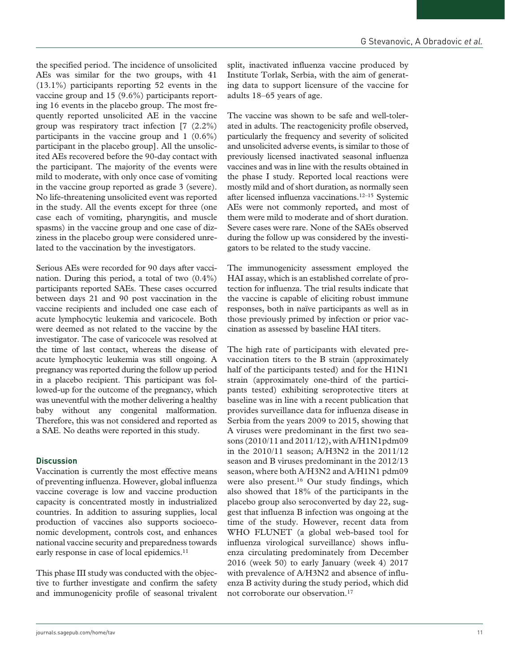the specified period. The incidence of unsolicited AEs was similar for the two groups, with 41 (13.1%) participants reporting 52 events in the vaccine group and 15 (9.6%) participants reporting 16 events in the placebo group. The most frequently reported unsolicited AE in the vaccine group was respiratory tract infection [7 (2.2%) participants in the vaccine group and 1 (0.6%) participant in the placebo group]. All the unsolicited AEs recovered before the 90-day contact with the participant. The majority of the events were mild to moderate, with only once case of vomiting in the vaccine group reported as grade 3 (severe). No life-threatening unsolicited event was reported in the study. All the events except for three (one case each of vomiting, pharyngitis, and muscle spasms) in the vaccine group and one case of dizziness in the placebo group were considered unrelated to the vaccination by the investigators.

Serious AEs were recorded for 90 days after vaccination. During this period, a total of two (0.4%) participants reported SAEs. These cases occurred between days 21 and 90 post vaccination in the vaccine recipients and included one case each of acute lymphocytic leukemia and varicocele. Both were deemed as not related to the vaccine by the investigator. The case of varicocele was resolved at the time of last contact, whereas the disease of acute lymphocytic leukemia was still ongoing. A pregnancy was reported during the follow up period in a placebo recipient. This participant was followed-up for the outcome of the pregnancy, which was uneventful with the mother delivering a healthy baby without any congenital malformation. Therefore, this was not considered and reported as a SAE. No deaths were reported in this study.

# **Discussion**

Vaccination is currently the most effective means of preventing influenza. However, global influenza vaccine coverage is low and vaccine production capacity is concentrated mostly in industrialized countries. In addition to assuring supplies, local production of vaccines also supports socioeconomic development, controls cost, and enhances national vaccine security and preparedness towards early response in case of local epidemics.<sup>11</sup>

This phase III study was conducted with the objective to further investigate and confirm the safety and immunogenicity profile of seasonal trivalent split, inactivated influenza vaccine produced by Institute Torlak, Serbia, with the aim of generating data to support licensure of the vaccine for adults 18–65 years of age.

The vaccine was shown to be safe and well-tolerated in adults. The reactogenicity profile observed, particularly the frequency and severity of solicited and unsolicited adverse events, is similar to those of previously licensed inactivated seasonal influenza vaccines and was in line with the results obtained in the phase I study. Reported local reactions were mostly mild and of short duration, as normally seen after licensed influenza vaccinations.12–15 Systemic AEs were not commonly reported, and most of them were mild to moderate and of short duration. Severe cases were rare. None of the SAEs observed during the follow up was considered by the investigators to be related to the study vaccine.

The immunogenicity assessment employed the HAI assay, which is an established correlate of protection for influenza. The trial results indicate that the vaccine is capable of eliciting robust immune responses, both in naïve participants as well as in those previously primed by infection or prior vaccination as assessed by baseline HAI titers.

The high rate of participants with elevated prevaccination titers to the B strain (approximately half of the participants tested) and for the H1N1 strain (approximately one-third of the participants tested) exhibiting seroprotective titers at baseline was in line with a recent publication that provides surveillance data for influenza disease in Serbia from the years 2009 to 2015, showing that A viruses were predominant in the first two seasons (2010/11 and 2011/12), with A/H1N1pdm09 in the 2010/11 season; A/H3N2 in the 2011/12 season and B viruses predominant in the 2012/13 season, where both A/H3N2 and A/H1N1 pdm09 were also present.<sup>16</sup> Our study findings, which also showed that 18% of the participants in the placebo group also seroconverted by day 22, suggest that influenza B infection was ongoing at the time of the study. However, recent data from WHO FLUNET (a global web-based tool for influenza virological surveillance) shows influenza circulating predominately from December 2016 (week 50) to early January (week 4) 2017 with prevalence of A/H3N2 and absence of influenza B activity during the study period, which did not corroborate our observation.17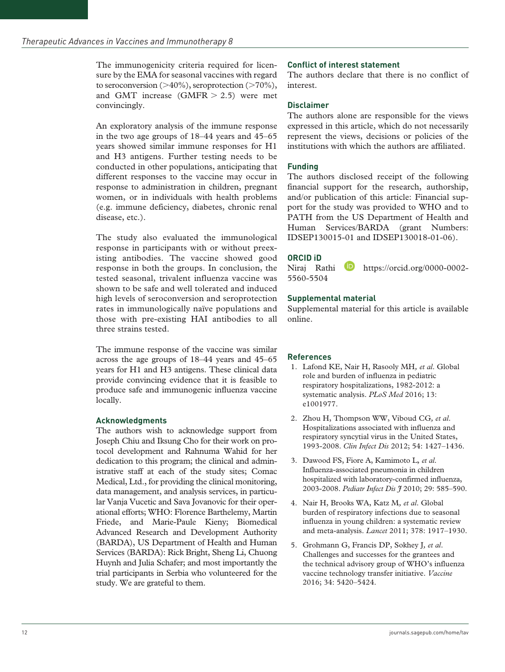The immunogenicity criteria required for licensure by the EMA for seasonal vaccines with regard to seroconversion  $(>40\%)$ , seroprotection  $(>70\%)$ , and GMT increase  $(GMFR > 2.5)$  were met convincingly.

An exploratory analysis of the immune response in the two age groups of 18–44 years and 45–65 years showed similar immune responses for H1 and H3 antigens. Further testing needs to be conducted in other populations, anticipating that different responses to the vaccine may occur in response to administration in children, pregnant women, or in individuals with health problems (e.g. immune deficiency, diabetes, chronic renal disease, etc.).

The study also evaluated the immunological response in participants with or without preexisting antibodies. The vaccine showed good response in both the groups. In conclusion, the tested seasonal, trivalent influenza vaccine was shown to be safe and well tolerated and induced high levels of seroconversion and seroprotection rates in immunologically naïve populations and those with pre-existing HAI antibodies to all three strains tested.

The immune response of the vaccine was similar across the age groups of 18–44 years and 45–65 years for H1 and H3 antigens. These clinical data provide convincing evidence that it is feasible to produce safe and immunogenic influenza vaccine locally.

# **Acknowledgments**

The authors wish to acknowledge support from Joseph Chiu and Iksung Cho for their work on protocol development and Rahnuma Wahid for her dedication to this program; the clinical and administrative staff at each of the study sites; Comac Medical, Ltd., for providing the clinical monitoring, data management, and analysis services, in particular Vanja Vucetic and Sava Jovanovic for their operational efforts; WHO: Florence Barthelemy, Martin Friede, and Marie-Paule Kieny; Biomedical Advanced Research and Development Authority (BARDA), US Department of Health and Human Services (BARDA): Rick Bright, Sheng Li, Chuong Huynh and Julia Schafer; and most importantly the trial participants in Serbia who volunteered for the study. We are grateful to them.

# **Conflict of interest statement**

The authors declare that there is no conflict of interest.

## **Disclaimer**

The authors alone are responsible for the views expressed in this article, which do not necessarily represent the views, decisions or policies of the institutions with which the authors are affiliated.

#### **Funding**

The authors disclosed receipt of the following financial support for the research, authorship, and/or publication of this article: Financial support for the study was provided to WHO and to PATH from the US Department of Health and Human Services/BARDA (grant Numbers: IDSEP130015-01 and IDSEP130018-01-06).

# **ORCID iD**

Niraj Rathi **https://orcid.org/0000-0002-**5560-5504

#### **Supplemental material**

Supplemental material for this article is available online.

# **References**

- 1. Lafond KE, Nair H, Rasooly MH*, et al*. Global role and burden of influenza in pediatric respiratory hospitalizations, 1982-2012: a systematic analysis. *PLoS Med* 2016; 13: e1001977.
- 2. Zhou H, Thompson WW, Viboud CG*, et al*. Hospitalizations associated with influenza and respiratory syncytial virus in the United States, 1993-2008. *Clin Infect Dis* 2012; 54: 1427–1436.
- 3. Dawood FS, Fiore A, Kamimoto L*, et al*. Influenza-associated pneumonia in children hospitalized with laboratory-confirmed influenza, 2003-2008. *Pediatr Infect Dis J* 2010; 29: 585–590.
- 4. Nair H, Brooks WA, Katz M*, et al*. Global burden of respiratory infections due to seasonal influenza in young children: a systematic review and meta-analysis. *Lancet* 2011; 378: 1917–1930.
- 5. Grohmann G, Francis DP, Sokhey J*, et al*. Challenges and successes for the grantees and the technical advisory group of WHO's influenza vaccine technology transfer initiative. *Vaccine* 2016; 34: 5420–5424.